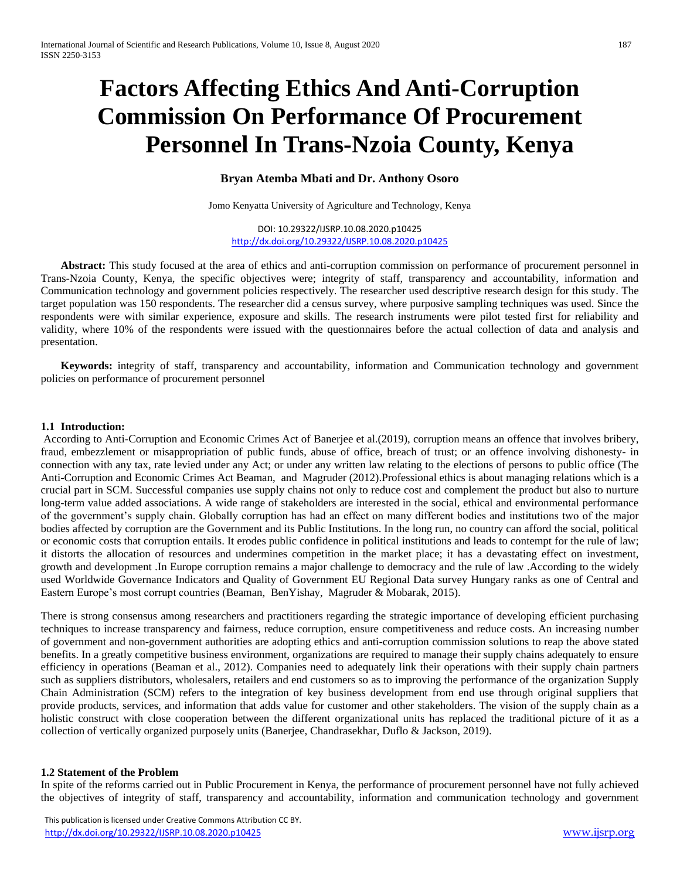# **Factors Affecting Ethics And Anti-Corruption Commission On Performance Of Procurement Personnel In Trans-Nzoia County, Kenya**

### **Bryan Atemba Mbati and Dr. Anthony Osoro**

Jomo Kenyatta University of Agriculture and Technology, Kenya

DOI: 10.29322/IJSRP.10.08.2020.p10425 <http://dx.doi.org/10.29322/IJSRP.10.08.2020.p10425>

**Abstract:** This study focused at the area of ethics and anti-corruption commission on performance of procurement personnel in Trans-Nzoia County, Kenya, the specific objectives were; integrity of staff, transparency and accountability, information and Communication technology and government policies respectively. The researcher used descriptive research design for this study. The target population was 150 respondents. The researcher did a census survey, where purposive sampling techniques was used. Since the respondents were with similar experience, exposure and skills. The research instruments were pilot tested first for reliability and validity, where 10% of the respondents were issued with the questionnaires before the actual collection of data and analysis and presentation.

**Keywords:** integrity of staff, transparency and accountability, information and Communication technology and government policies on performance of procurement personnel

#### **1.1 Introduction:**

According to Anti-Corruption and Economic Crimes Act of Banerjee et al.(2019), corruption means an offence that involves bribery, fraud, embezzlement or misappropriation of public funds, abuse of office, breach of trust; or an offence involving dishonesty- in connection with any tax, rate levied under any Act; or under any written law relating to the elections of persons to public office (The Anti-Corruption and Economic Crimes Act Beaman, and Magruder (2012).Professional ethics is about managing relations which is a crucial part in SCM. Successful companies use supply chains not only to reduce cost and complement the product but also to nurture long-term value added associations. A wide range of stakeholders are interested in the social, ethical and environmental performance of the government's supply chain. Globally corruption has had an effect on many different bodies and institutions two of the major bodies affected by corruption are the Government and its Public Institutions. In the long run, no country can afford the social, political or economic costs that corruption entails. It erodes public confidence in political institutions and leads to contempt for the rule of law; it distorts the allocation of resources and undermines competition in the market place; it has a devastating effect on investment, growth and development .In Europe corruption remains a major challenge to democracy and the rule of law .According to the widely used Worldwide Governance Indicators and Quality of Government EU Regional Data survey Hungary ranks as one of Central and Eastern Europe's most corrupt countries (Beaman, BenYishay, Magruder & Mobarak, 2015).

There is strong consensus among researchers and practitioners regarding the strategic importance of developing efficient purchasing techniques to increase transparency and fairness, reduce corruption, ensure competitiveness and reduce costs. An increasing number of government and non-government authorities are adopting ethics and anti-corruption commission solutions to reap the above stated benefits. In a greatly competitive business environment, organizations are required to manage their supply chains adequately to ensure efficiency in operations (Beaman et al., 2012). Companies need to adequately link their operations with their supply chain partners such as suppliers distributors, wholesalers, retailers and end customers so as to improving the performance of the organization Supply Chain Administration (SCM) refers to the integration of key business development from end use through original suppliers that provide products, services, and information that adds value for customer and other stakeholders. The vision of the supply chain as a holistic construct with close cooperation between the different organizational units has replaced the traditional picture of it as a collection of vertically organized purposely units (Banerjee, Chandrasekhar, Duflo & Jackson, 2019).

#### **1.2 Statement of the Problem**

In spite of the reforms carried out in Public Procurement in Kenya, the performance of procurement personnel have not fully achieved the objectives of integrity of staff, transparency and accountability, information and communication technology and government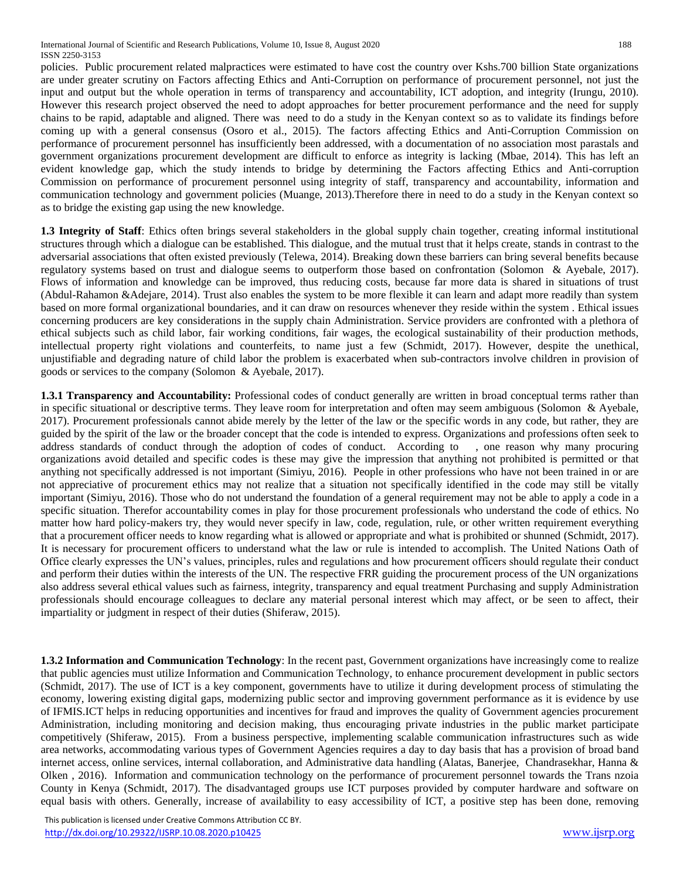policies. Public procurement related malpractices were estimated to have cost the country over Kshs.700 billion State organizations are under greater scrutiny on Factors affecting Ethics and Anti-Corruption on performance of procurement personnel, not just the input and output but the whole operation in terms of transparency and accountability, ICT adoption, and integrity (Irungu, 2010). However this research project observed the need to adopt approaches for better procurement performance and the need for supply chains to be rapid, adaptable and aligned. There was need to do a study in the Kenyan context so as to validate its findings before coming up with a general consensus (Osoro et al., 2015). The factors affecting Ethics and Anti-Corruption Commission on performance of procurement personnel has insufficiently been addressed, with a documentation of no association most parastals and government organizations procurement development are difficult to enforce as integrity is lacking (Mbae, 2014). This has left an evident knowledge gap, which the study intends to bridge by determining the Factors affecting Ethics and Anti-corruption Commission on performance of procurement personnel using integrity of staff, transparency and accountability, information and communication technology and government policies (Muange, 2013).Therefore there in need to do a study in the Kenyan context so as to bridge the existing gap using the new knowledge.

**1.3 Integrity of Staff**: Ethics often brings several stakeholders in the global supply chain together, creating informal institutional structures through which a dialogue can be established. This dialogue, and the mutual trust that it helps create, stands in contrast to the adversarial associations that often existed previously (Telewa, 2014). Breaking down these barriers can bring several benefits because regulatory systems based on trust and dialogue seems to outperform those based on confrontation (Solomon & Ayebale, 2017). Flows of information and knowledge can be improved, thus reducing costs, because far more data is shared in situations of trust (Abdul-Rahamon &Adejare, 2014). Trust also enables the system to be more flexible it can learn and adapt more readily than system based on more formal organizational boundaries, and it can draw on resources whenever they reside within the system . Ethical issues concerning producers are key considerations in the supply chain Administration. Service providers are confronted with a plethora of ethical subjects such as child labor, fair working conditions, fair wages, the ecological sustainability of their production methods, intellectual property right violations and counterfeits, to name just a few (Schmidt, 2017). However, despite the unethical, unjustifiable and degrading nature of child labor the problem is exacerbated when sub-contractors involve children in provision of goods or services to the company (Solomon & Ayebale, 2017).

**1.3.1 Transparency and Accountability:** Professional codes of conduct generally are written in broad conceptual terms rather than in specific situational or descriptive terms. They leave room for interpretation and often may seem ambiguous (Solomon & Ayebale, 2017). Procurement professionals cannot abide merely by the letter of the law or the specific words in any code, but rather, they are guided by the spirit of the law or the broader concept that the code is intended to express. Organizations and professions often seek to address standards of conduct through the adoption of codes of conduct. According to , one reason why many procuring organizations avoid detailed and specific codes is these may give the impression that anything not prohibited is permitted or that anything not specifically addressed is not important (Simiyu, 2016). People in other professions who have not been trained in or are not appreciative of procurement ethics may not realize that a situation not specifically identified in the code may still be vitally important (Simiyu, 2016). Those who do not understand the foundation of a general requirement may not be able to apply a code in a specific situation. Therefor accountability comes in play for those procurement professionals who understand the code of ethics. No matter how hard policy-makers try, they would never specify in law, code, regulation, rule, or other written requirement everything that a procurement officer needs to know regarding what is allowed or appropriate and what is prohibited or shunned (Schmidt, 2017). It is necessary for procurement officers to understand what the law or rule is intended to accomplish. The United Nations Oath of Office clearly expresses the UN's values, principles, rules and regulations and how procurement officers should regulate their conduct and perform their duties within the interests of the UN. The respective FRR guiding the procurement process of the UN organizations also address several ethical values such as fairness, integrity, transparency and equal treatment Purchasing and supply Administration professionals should encourage colleagues to declare any material personal interest which may affect, or be seen to affect, their impartiality or judgment in respect of their duties (Shiferaw, 2015).

**1.3.2 Information and Communication Technology**: In the recent past, Government organizations have increasingly come to realize that public agencies must utilize Information and Communication Technology, to enhance procurement development in public sectors (Schmidt, 2017). The use of ICT is a key component, governments have to utilize it during development process of stimulating the economy, lowering existing digital gaps, modernizing public sector and improving government performance as it is evidence by use of IFMIS.ICT helps in reducing opportunities and incentives for fraud and improves the quality of Government agencies procurement Administration, including monitoring and decision making, thus encouraging private industries in the public market participate competitively (Shiferaw, 2015). From a business perspective, implementing scalable communication infrastructures such as wide area networks, accommodating various types of Government Agencies requires a day to day basis that has a provision of broad band internet access, online services, internal collaboration, and Administrative data handling (Alatas, Banerjee, Chandrasekhar, Hanna & Olken , 2016). Information and communication technology on the performance of procurement personnel towards the Trans nzoia County in Kenya (Schmidt, 2017). The disadvantaged groups use ICT purposes provided by computer hardware and software on equal basis with others. Generally, increase of availability to easy accessibility of ICT, a positive step has been done, removing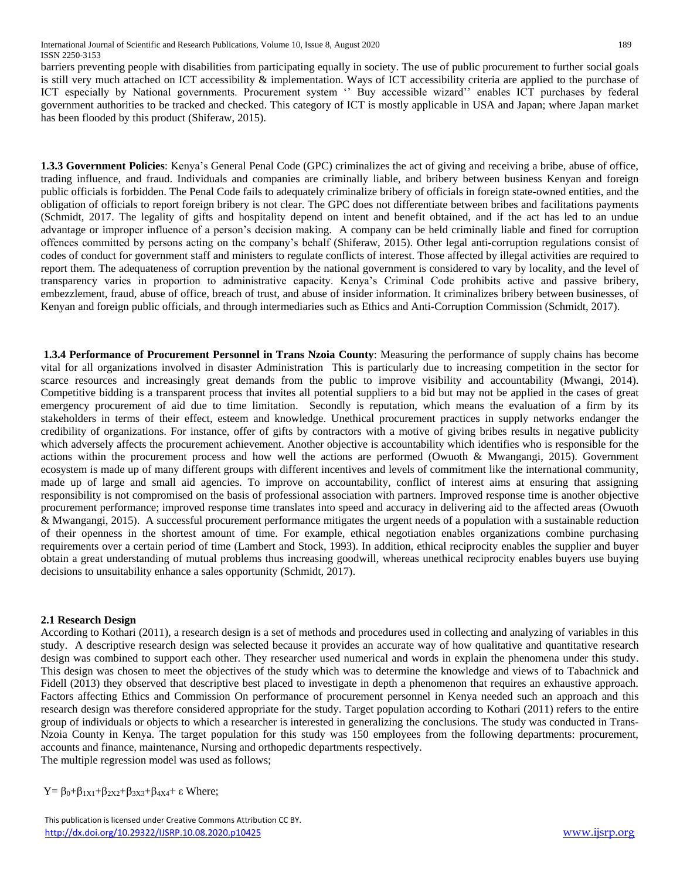barriers preventing people with disabilities from participating equally in society. The use of public procurement to further social goals is still very much attached on ICT accessibility & implementation. Ways of ICT accessibility criteria are applied to the purchase of ICT especially by National governments. Procurement system " Buy accessible wizard" enables ICT purchases by federal government authorities to be tracked and checked. This category of ICT is mostly applicable in USA and Japan; where Japan market has been flooded by this product (Shiferaw, 2015).

**1.3.3 Government Policies**: Kenya's General Penal Code (GPC) criminalizes the act of giving and receiving a bribe, abuse of office, trading influence, and fraud. Individuals and companies are criminally liable, and bribery between business Kenyan and foreign public officials is forbidden. The Penal Code fails to adequately criminalize bribery of officials in foreign state-owned entities, and the obligation of officials to report foreign bribery is not clear. The GPC does not differentiate between bribes and facilitations payments (Schmidt, 2017. The legality of gifts and hospitality depend on intent and benefit obtained, and if the act has led to an undue advantage or improper influence of a person's decision making. A company can be held criminally liable and fined for corruption offences committed by persons acting on the company's behalf (Shiferaw, 2015). Other legal anti-corruption regulations consist of codes of conduct for government staff and ministers to regulate conflicts of interest. Those affected by illegal activities are required to report them. The adequateness of corruption prevention by the national government is considered to vary by locality, and the level of transparency varies in proportion to administrative capacity. Kenya's Criminal Code prohibits active and passive bribery, embezzlement, fraud, abuse of office, breach of trust, and abuse of insider information. It criminalizes bribery between businesses, of Kenyan and foreign public officials, and through intermediaries such as Ethics and Anti-Corruption Commission (Schmidt, 2017).

**1.3.4 Performance of Procurement Personnel in Trans Nzoia County**: Measuring the performance of supply chains has become vital for all organizations involved in disaster Administration This is particularly due to increasing competition in the sector for scarce resources and increasingly great demands from the public to improve visibility and accountability (Mwangi, 2014). Competitive bidding is a transparent process that invites all potential suppliers to a bid but may not be applied in the cases of great emergency procurement of aid due to time limitation. Secondly is reputation, which means the evaluation of a firm by its stakeholders in terms of their effect, esteem and knowledge. Unethical procurement practices in supply networks endanger the credibility of organizations. For instance, offer of gifts by contractors with a motive of giving bribes results in negative publicity which adversely affects the procurement achievement. Another objective is accountability which identifies who is responsible for the actions within the procurement process and how well the actions are performed (Owuoth & Mwangangi, 2015). Government ecosystem is made up of many different groups with different incentives and levels of commitment like the international community, made up of large and small aid agencies. To improve on accountability, conflict of interest aims at ensuring that assigning responsibility is not compromised on the basis of professional association with partners. Improved response time is another objective procurement performance; improved response time translates into speed and accuracy in delivering aid to the affected areas (Owuoth & Mwangangi, 2015). A successful procurement performance mitigates the urgent needs of a population with a sustainable reduction of their openness in the shortest amount of time. For example, ethical negotiation enables organizations combine purchasing requirements over a certain period of time (Lambert and Stock, 1993). In addition, ethical reciprocity enables the supplier and buyer obtain a great understanding of mutual problems thus increasing goodwill, whereas unethical reciprocity enables buyers use buying decisions to unsuitability enhance a sales opportunity (Schmidt, 2017).

## **2.1 Research Design**

According to Kothari (2011), a research design is a set of methods and procedures used in collecting and analyzing of variables in this study. A descriptive research design was selected because it provides an accurate way of how qualitative and quantitative research design was combined to support each other. They researcher used numerical and words in explain the phenomena under this study. This design was chosen to meet the objectives of the study which was to determine the knowledge and views of to Tabachnick and Fidell (2013) they observed that descriptive best placed to investigate in depth a phenomenon that requires an exhaustive approach. Factors affecting Ethics and Commission On performance of procurement personnel in Kenya needed such an approach and this research design was therefore considered appropriate for the study. Target population according to Kothari (2011) refers to the entire group of individuals or objects to which a researcher is interested in generalizing the conclusions. The study was conducted in Trans-Nzoia County in Kenya. The target population for this study was 150 employees from the following departments: procurement, accounts and finance, maintenance, Nursing and orthopedic departments respectively. The multiple regression model was used as follows;

 $Y = \beta_0 + \beta_{1X1} + \beta_{2X2} + \beta_{3X3} + \beta_{4X4} + \varepsilon$  Where;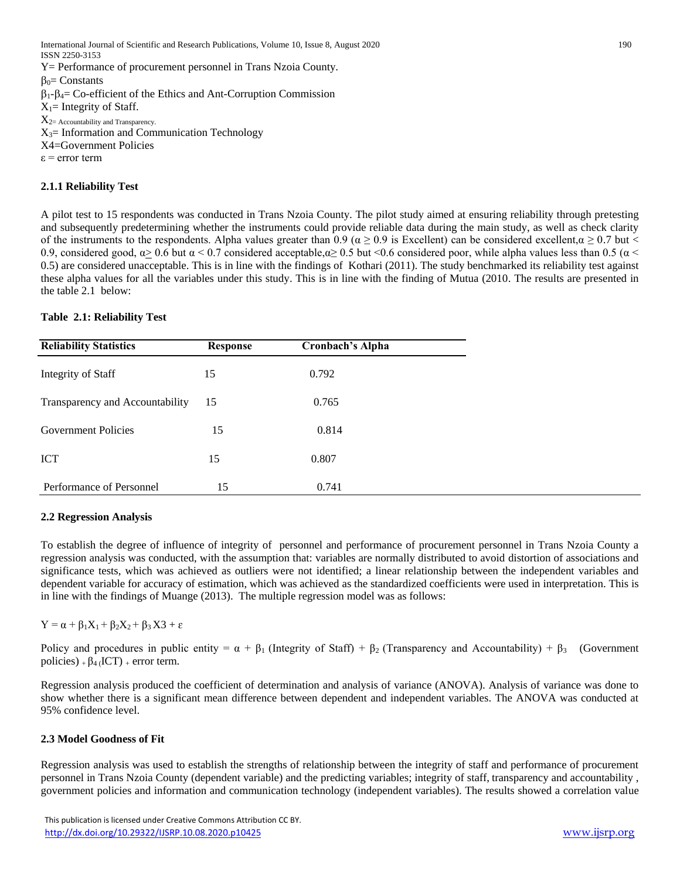International Journal of Scientific and Research Publications, Volume 10, Issue 8, August 2020 190 ISSN 2250-3153 Y= Performance of procurement personnel in Trans Nzoia County.  $\beta_0$ = Constants  $\beta_1-\beta_4$ = Co-efficient of the Ethics and Ant-Corruption Commission  $X_1$ = Integrity of Staff.  $X_{2=}$  Accountability and Transparency.  $X_3$ = Information and Communication Technology X4=Government Policies  $\varepsilon$  = error term

#### **2.1.1 Reliability Test**

A pilot test to 15 respondents was conducted in Trans Nzoia County. The pilot study aimed at ensuring reliability through pretesting and subsequently predetermining whether the instruments could provide reliable data during the main study, as well as check clarity of the instruments to the respondents. Alpha values greater than 0.9 ( $\alpha \ge 0.9$  is Excellent) can be considered excellent, $\alpha \ge 0.7$  but < 0.9, considered good,  $\alpha$  > 0.6 but  $\alpha$  < 0.7 considered acceptable, $\alpha$  ≥ 0.5 but <0.6 considered poor, while alpha values less than 0.5 ( $\alpha$  < 0.5) are considered unacceptable. This is in line with the findings of Kothari (2011). The study benchmarked its reliability test against these alpha values for all the variables under this study. This is in line with the finding of Mutua (2010. The results are presented in the table 2.1 below:

#### **Table 2.1: Reliability Test**

| <b>Reliability Statistics</b>   | <b>Response</b> | <b>Cronbach's Alpha</b> |  |
|---------------------------------|-----------------|-------------------------|--|
| Integrity of Staff              | 15              | 0.792                   |  |
| Transparency and Accountability | 15              | 0.765                   |  |
| <b>Government Policies</b>      | 15              | 0.814                   |  |
| <b>ICT</b>                      | 15              | 0.807                   |  |
| Performance of Personnel        | 15              | 0.741                   |  |

#### **2.2 Regression Analysis**

To establish the degree of influence of integrity of personnel and performance of procurement personnel in Trans Nzoia County a regression analysis was conducted, with the assumption that: variables are normally distributed to avoid distortion of associations and significance tests, which was achieved as outliers were not identified; a linear relationship between the independent variables and dependent variable for accuracy of estimation, which was achieved as the standardized coefficients were used in interpretation. This is in line with the findings of Muange (2013). The multiple regression model was as follows:

 $Y = \alpha + \beta_1 X_1 + \beta_2 X_2 + \beta_3 X3 + \varepsilon$ 

Policy and procedures in public entity =  $\alpha + \beta_1$  (Integrity of Staff) +  $\beta_2$  (Transparency and Accountability) +  $\beta_3$  (Government policies) +  $\beta$ <sub>4</sub> (ICT) + error term.

Regression analysis produced the coefficient of determination and analysis of variance (ANOVA). Analysis of variance was done to show whether there is a significant mean difference between dependent and independent variables. The ANOVA was conducted at 95% confidence level.

#### **2.3 Model Goodness of Fit**

Regression analysis was used to establish the strengths of relationship between the integrity of staff and performance of procurement personnel in Trans Nzoia County (dependent variable) and the predicting variables; integrity of staff, transparency and accountability , government policies and information and communication technology (independent variables). The results showed a correlation value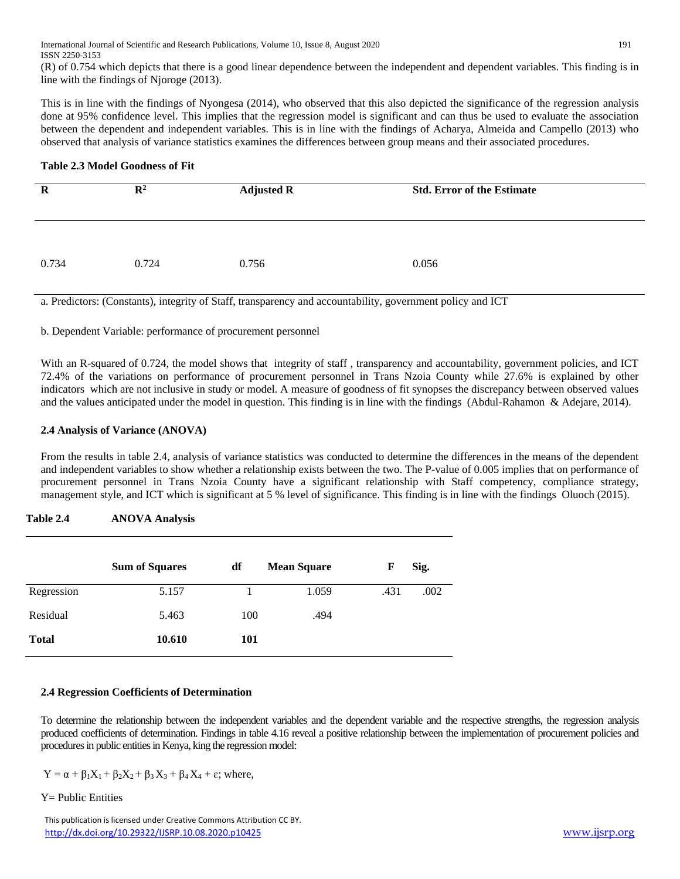(R) of 0.754 which depicts that there is a good linear dependence between the independent and dependent variables. This finding is in line with the findings of Njoroge (2013).

This is in line with the findings of Nyongesa (2014), who observed that this also depicted the significance of the regression analysis done at 95% confidence level. This implies that the regression model is significant and can thus be used to evaluate the association between the dependent and independent variables. This is in line with the findings of Acharya, Almeida and Campello (2013) who observed that analysis of variance statistics examines the differences between group means and their associated procedures.

#### **Table 2.3 Model Goodness of Fit**

| $\mathbf R$ | $\mathbb{R}^2$ | <b>Adjusted R</b> | <b>Std. Error of the Estimate</b> |
|-------------|----------------|-------------------|-----------------------------------|
| 0.734       | 0.724          | 0.756             | 0.056                             |

a. Predictors: (Constants), integrity of Staff, transparency and accountability, government policy and ICT

b. Dependent Variable: performance of procurement personnel

With an R-squared of 0.724, the model shows that integrity of staff , transparency and accountability, government policies, and ICT 72.4% of the variations on performance of procurement personnel in Trans Nzoia County while 27.6% is explained by other indicators which are not inclusive in study or model. A measure of goodness of fit synopses the discrepancy between observed values and the values anticipated under the model in question. This finding is in line with the findings (Abdul-Rahamon & Adejare, 2014).

# **2.4 Analysis of Variance (ANOVA)**

From the results in table 2.4, analysis of variance statistics was conducted to determine the differences in the means of the dependent and independent variables to show whether a relationship exists between the two. The P-value of 0.005 implies that on performance of procurement personnel in Trans Nzoia County have a significant relationship with Staff competency, compliance strategy, management style, and ICT which is significant at 5 % level of significance. This finding is in line with the findings Oluoch (2015).

# **Table 2.4 ANOVA Analysis**

|              | <b>Sum of Squares</b> | df  | <b>Mean Square</b> | F    | Sig. |
|--------------|-----------------------|-----|--------------------|------|------|
| Regression   | 5.157                 |     | 1.059              | .431 | .002 |
| Residual     | 5.463                 | 100 | .494               |      |      |
| <b>Total</b> | 10.610                | 101 |                    |      |      |

## **2.4 Regression Coefficients of Determination**

To determine the relationship between the independent variables and the dependent variable and the respective strengths, the regression analysis produced coefficients of determination. Findings in table 4.16 reveal a positive relationship between the implementation of procurement policies and procedures in public entities in Kenya, king the regression model:

$$
Y = \alpha + \beta_1 X_1 + \beta_2 X_2 + \beta_3 X_3 + \beta_4 X_4 + \epsilon
$$
; where,

Y= Public Entities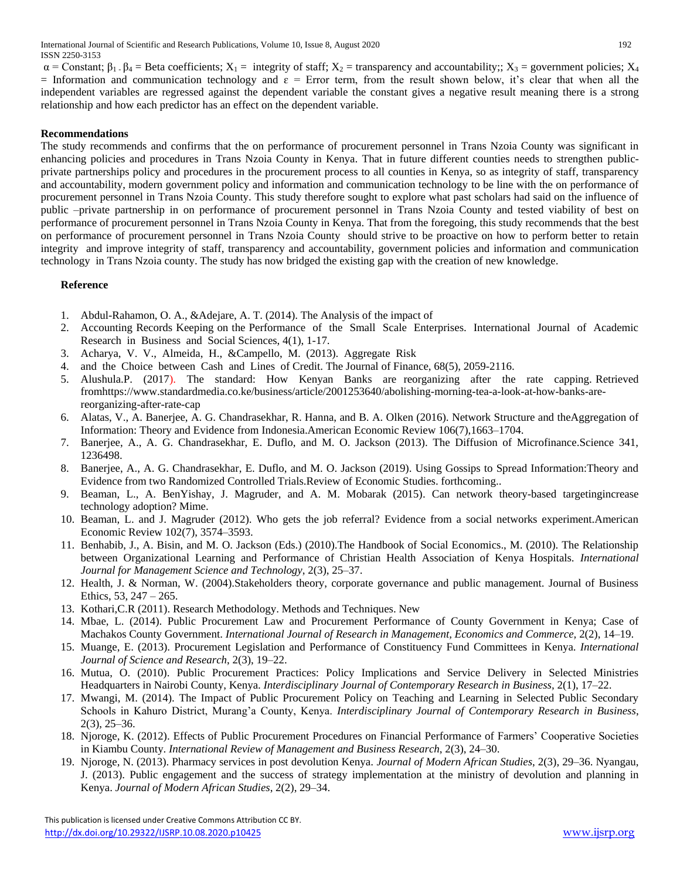International Journal of Scientific and Research Publications, Volume 10, Issue 8, August 2020 192 ISSN 2250-3153

 $\alpha$  = Constant;  $\beta_1$ .  $\beta_4$  = Beta coefficients;  $X_1$  = integrity of staff;  $X_2$  = transparency and accountability;;  $X_3$  = government policies;  $X_4$ = Information and communication technology and  $\varepsilon$  = Error term, from the result shown below, it's clear that when all the independent variables are regressed against the dependent variable the constant gives a negative result meaning there is a strong relationship and how each predictor has an effect on the dependent variable.

#### **Recommendations**

The study recommends and confirms that the on performance of procurement personnel in Trans Nzoia County was significant in enhancing policies and procedures in Trans Nzoia County in Kenya. That in future different counties needs to strengthen publicprivate partnerships policy and procedures in the procurement process to all counties in Kenya, so as integrity of staff, transparency and accountability, modern government policy and information and communication technology to be line with the on performance of procurement personnel in Trans Nzoia County. This study therefore sought to explore what past scholars had said on the influence of public –private partnership in on performance of procurement personnel in Trans Nzoia County and tested viability of best on performance of procurement personnel in Trans Nzoia County in Kenya. That from the foregoing, this study recommends that the best on performance of procurement personnel in Trans Nzoia County should strive to be proactive on how to perform better to retain integrity and improve integrity of staff, transparency and accountability, government policies and information and communication technology in Trans Nzoia county. The study has now bridged the existing gap with the creation of new knowledge.

#### **Reference**

- 1. Abdul-Rahamon, O. A., &Adejare, A. T. (2014). The Analysis of the impact of
- 2. Accounting Records Keeping on the Performance of the Small Scale Enterprises. International Journal of Academic Research in Business and Social Sciences, 4(1), 1-17.
- 3. Acharya, V. V., Almeida, H., &Campello, M. (2013). Aggregate Risk
- 4. and the Choice between Cash and Lines of Credit. The Journal of Finance, 68(5), 2059-2116.
- 5. Alushula.P. (2017). The standard: How Kenyan Banks are reorganizing after the rate capping. Retrieved fromhttps://www.standardmedia.co.ke/business/article/2001253640/abolishing-morning-tea-a-look-at-how-banks-arereorganizing-after-rate-cap
- 6. Alatas, V., A. Banerjee, A. G. Chandrasekhar, R. Hanna, and B. A. Olken (2016). Network Structure and theAggregation of Information: Theory and Evidence from Indonesia.American Economic Review 106(7),1663–1704.
- 7. Banerjee, A., A. G. Chandrasekhar, E. Duflo, and M. O. Jackson (2013). The Diffusion of Microfinance.Science 341, 1236498.
- 8. Banerjee, A., A. G. Chandrasekhar, E. Duflo, and M. O. Jackson (2019). Using Gossips to Spread Information:Theory and Evidence from two Randomized Controlled Trials.Review of Economic Studies. forthcoming..
- 9. Beaman, L., A. BenYishay, J. Magruder, and A. M. Mobarak (2015). Can network theory-based targetingincrease technology adoption? Mime.
- 10. Beaman, L. and J. Magruder (2012). Who gets the job referral? Evidence from a social networks experiment.American Economic Review 102(7), 3574–3593.
- 11. Benhabib, J., A. Bisin, and M. O. Jackson (Eds.) (2010).The Handbook of Social Economics., M. (2010). The Relationship between Organizational Learning and Performance of Christian Health Association of Kenya Hospitals. *International Journal for Management Science and Technology*, 2(3), 25–37.
- 12. Health, J. & Norman, W. (2004).Stakeholders theory, corporate governance and public management. Journal of Business Ethics, 53, 247 – 265.
- 13. Kothari,C.R (2011). Research Methodology. Methods and Techniques. New
- 14. Mbae, L. (2014). Public Procurement Law and Procurement Performance of County Government in Kenya; Case of Machakos County Government. *International Journal of Research in Management, Economics and Commerce,* 2(2), 14–19.
- 15. Muange, E. (2013). Procurement Legislation and Performance of Constituency Fund Committees in Kenya. *International Journal of Science and Research*, 2(3), 19–22.
- 16. Mutua, O. (2010). Public Procurement Practices: Policy Implications and Service Delivery in Selected Ministries Headquarters in Nairobi County, Kenya. *Interdisciplinary Journal of Contemporary Research in Business,* 2(1), 17–22.
- 17. Mwangi, M. (2014). The Impact of Public Procurement Policy on Teaching and Learning in Selected Public Secondary Schools in Kahuro District, Murang'a County, Kenya. *Interdisciplinary Journal of Contemporary Research in Business*, 2(3), 25–36.
- 18. Njoroge, K. (2012). Effects of Public Procurement Procedures on Financial Performance of Farmers' Cooperative Societies in Kiambu County. *International Review of Management and Business Research*, 2(3), 24–30.
- 19. Njoroge, N. (2013). Pharmacy services in post devolution Kenya. *Journal of Modern African Studies*, 2(3), 29–36. Nyangau, J. (2013). Public engagement and the success of strategy implementation at the ministry of devolution and planning in Kenya. *Journal of Modern African Studies*, 2(2), 29–34.